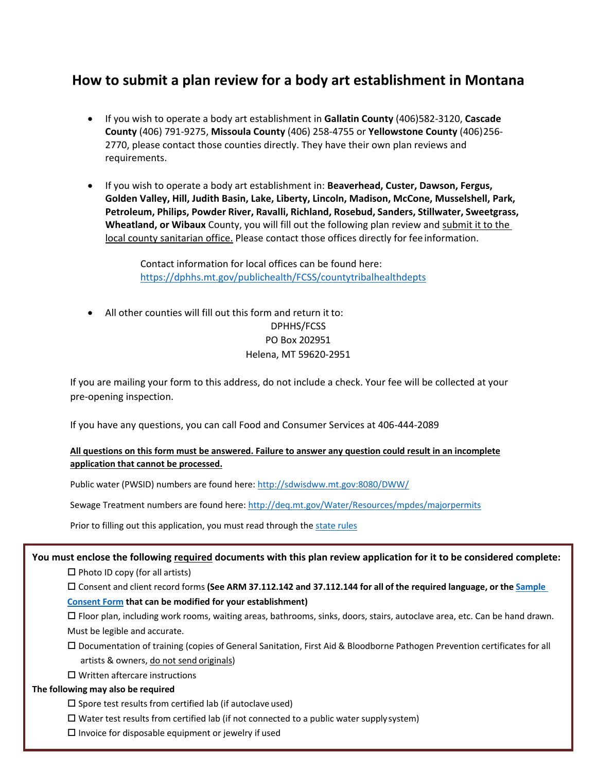# **How to submit a plan review for a body art establishment in Montana**

- If you wish to operate a body art establishment in **Gallatin County** (406)582-3120, **Cascade County** (406) 791-9275, **Missoula County** (406) 258-4755 or **Yellowstone County** (406)256- 2770, please contact those counties directly. They have their own plan reviews and requirements.
- If you wish to operate a body art establishment in: **Beaverhead, Custer, Dawson, Fergus, Golden Valley, Hill, Judith Basin, Lake, Liberty, Lincoln, Madison, McCone, Musselshell, Park, Petroleum, Philips, Powder River, Ravalli, Richland, Rosebud, Sanders, Stillwater, Sweetgrass, Wheatland, or Wibaux** County, you will fill out the following plan review and submit it to the local county sanitarian office. Please contact those offices directly for fee information.

Contact information for local offices can be found here: <https://dphhs.mt.gov/publichealth/FCSS/countytribalhealthdepts>

• All other counties will fill out this form and return it to: DPHHS/FCSS PO Box 202951 Helena, MT 59620-2951

If you are mailing your form to this address, do not include a check. Your fee will be collected at your pre-opening inspection.

If you have any questions, you can call Food and Consumer Services at 406-444-2089

#### **All questions on this form must be answered. Failure to answer any question could result in an incomplete application that cannot be processed.**

Public water (PWSID) numbers are found here: http://sdwisdww.mt.gov:8080/DWW/

Sewage Treatment numbers are found here[: http://deq.mt.gov/Water/Resources/mpdes/majorpermits](http://deq.mt.gov/Water/Resources/mpdes/majorpermits)

Prior to filling out this application, you must read through the [state rules](https://dphhs.mt.gov/Portals/85/publichealth/documents/FCS/ARMforprinting-mainbody.pdf)

#### **You must enclose the following required documents with this plan review application for it to be considered complete:**

 $\Box$  Photo ID copy (for all artists)

Consent and client record forms **(See ARM 37.112.142 and 37.112.144 for all of the required language, or the [Sample](https://dphhs.mt.gov/Portals/85/publichealth/documents/FCS/SampleConsentForm.pdf)**

#### **[Consent Form](https://dphhs.mt.gov/Portals/85/publichealth/documents/FCS/SampleConsentForm.pdf) that can be modified for your establishment)**

 Floor plan, including work rooms, waiting areas, bathrooms, sinks, doors, stairs, autoclave area, etc. Can be hand drawn. Must be legible and accurate.

 Documentation of training (copies of General Sanitation, First Aid & Bloodborne Pathogen Prevention certificates for all artists & owners, do not send originals)

□ Written aftercare instructions

#### **The following may also be required**

 $\square$  Spore test results from certified lab (if autoclave used)

 $\Box$  Water test results from certified lab (if not connected to a public water supply system)

 $\square$  Invoice for disposable equipment or jewelry if used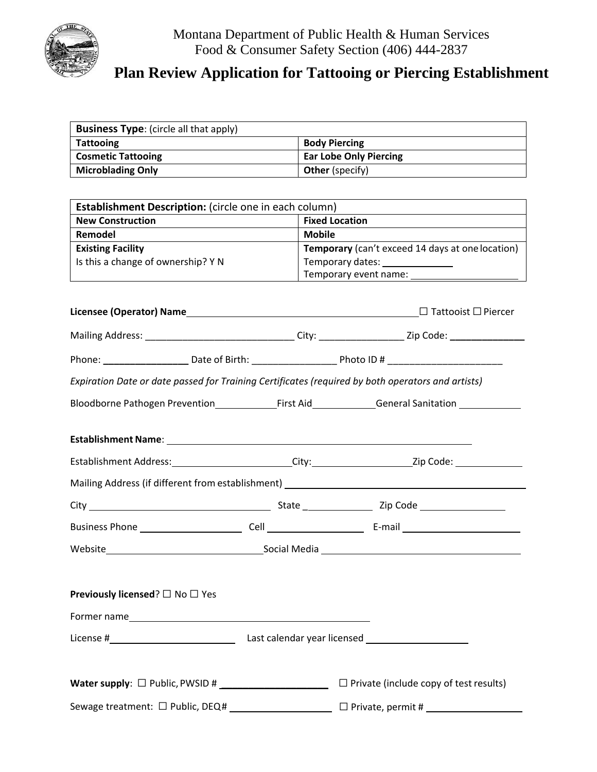

# **Plan Review Application for Tattooing or Piercing Establishment**

| <b>Business Type:</b> (circle all that apply)                                                     |                        |                                                                                                      |  |  |  |
|---------------------------------------------------------------------------------------------------|------------------------|------------------------------------------------------------------------------------------------------|--|--|--|
| <b>Tattooing</b>                                                                                  |                        | <b>Body Piercing</b>                                                                                 |  |  |  |
| <b>Cosmetic Tattooing</b>                                                                         |                        | <b>Ear Lobe Only Piercing</b>                                                                        |  |  |  |
| <b>Microblading Only</b>                                                                          | <b>Other (specify)</b> |                                                                                                      |  |  |  |
|                                                                                                   |                        |                                                                                                      |  |  |  |
| Establishment Description: (circle one in each column)                                            |                        |                                                                                                      |  |  |  |
| <b>New Construction</b><br><b>Fixed Location</b>                                                  |                        |                                                                                                      |  |  |  |
| Remodel                                                                                           |                        | <b>Mobile</b>                                                                                        |  |  |  |
| <b>Existing Facility</b>                                                                          |                        | Temporary (can't exceed 14 days at one location)                                                     |  |  |  |
| Is this a change of ownership? Y N                                                                |                        | Temporary dates: _______________                                                                     |  |  |  |
|                                                                                                   |                        | Temporary event name: ________________________                                                       |  |  |  |
|                                                                                                   |                        |                                                                                                      |  |  |  |
|                                                                                                   |                        |                                                                                                      |  |  |  |
|                                                                                                   |                        | Mailing Address: _________________________________City: ___________________Zip Code: _______________ |  |  |  |
|                                                                                                   |                        |                                                                                                      |  |  |  |
|                                                                                                   |                        |                                                                                                      |  |  |  |
| Expiration Date or date passed for Training Certificates (required by both operators and artists) |                        |                                                                                                      |  |  |  |
|                                                                                                   |                        |                                                                                                      |  |  |  |
|                                                                                                   |                        |                                                                                                      |  |  |  |
|                                                                                                   |                        |                                                                                                      |  |  |  |
|                                                                                                   |                        |                                                                                                      |  |  |  |
|                                                                                                   |                        |                                                                                                      |  |  |  |
| Mailing Address (if different from establishment) ______________________________                  |                        |                                                                                                      |  |  |  |
|                                                                                                   |                        |                                                                                                      |  |  |  |
|                                                                                                   |                        |                                                                                                      |  |  |  |
|                                                                                                   |                        |                                                                                                      |  |  |  |
|                                                                                                   |                        |                                                                                                      |  |  |  |
|                                                                                                   |                        |                                                                                                      |  |  |  |
| <b>Previously licensed?</b> □ No □ Yes                                                            |                        |                                                                                                      |  |  |  |
|                                                                                                   |                        |                                                                                                      |  |  |  |
|                                                                                                   |                        |                                                                                                      |  |  |  |
|                                                                                                   |                        |                                                                                                      |  |  |  |
|                                                                                                   |                        | $\Box$ Private (include copy of test results)                                                        |  |  |  |
|                                                                                                   |                        |                                                                                                      |  |  |  |
| Sewage treatment: □ Public, DEQ# _______________________                                          |                        |                                                                                                      |  |  |  |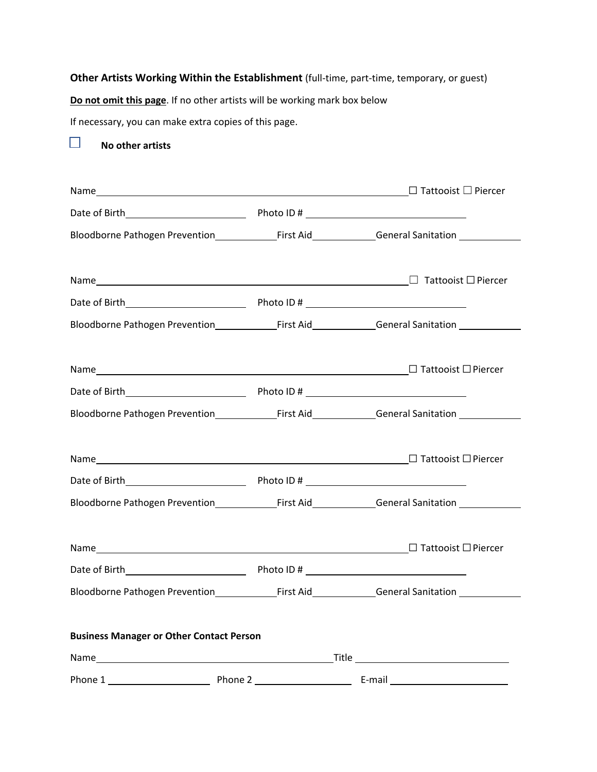## **Other Artists Working Within the Establishment** (full-time, part-time, temporary, or guest)

**Do not omit this page**. If no other artists will be working mark box below

If necessary, you can make extra copies of this page.

 $\Box$ **No other artists**

| Name $\begin{tabular}{ c c c c c } \hline \texttt{Name} & \texttt{Piercer} \\\hline \end{tabular}$                                                                                                                             |  |  |
|--------------------------------------------------------------------------------------------------------------------------------------------------------------------------------------------------------------------------------|--|--|
|                                                                                                                                                                                                                                |  |  |
|                                                                                                                                                                                                                                |  |  |
| Name $\hfill\Box$ Tattooist $\Box$ Piercer                                                                                                                                                                                     |  |  |
|                                                                                                                                                                                                                                |  |  |
|                                                                                                                                                                                                                                |  |  |
| Name $\Box$ Tattooist $\Box$ Piercer                                                                                                                                                                                           |  |  |
|                                                                                                                                                                                                                                |  |  |
| Bloodborne Pathogen Prevention Manne Circle First Aid Manne Ceneral Sanitation Manne Communist Communist Communist Communist Communist Communist Communist Communist Communist Communist Communist Communist Communist Communi |  |  |
|                                                                                                                                                                                                                                |  |  |
|                                                                                                                                                                                                                                |  |  |
|                                                                                                                                                                                                                                |  |  |
|                                                                                                                                                                                                                                |  |  |
|                                                                                                                                                                                                                                |  |  |
|                                                                                                                                                                                                                                |  |  |
| <b>Business Manager or Other Contact Person</b>                                                                                                                                                                                |  |  |
|                                                                                                                                                                                                                                |  |  |
|                                                                                                                                                                                                                                |  |  |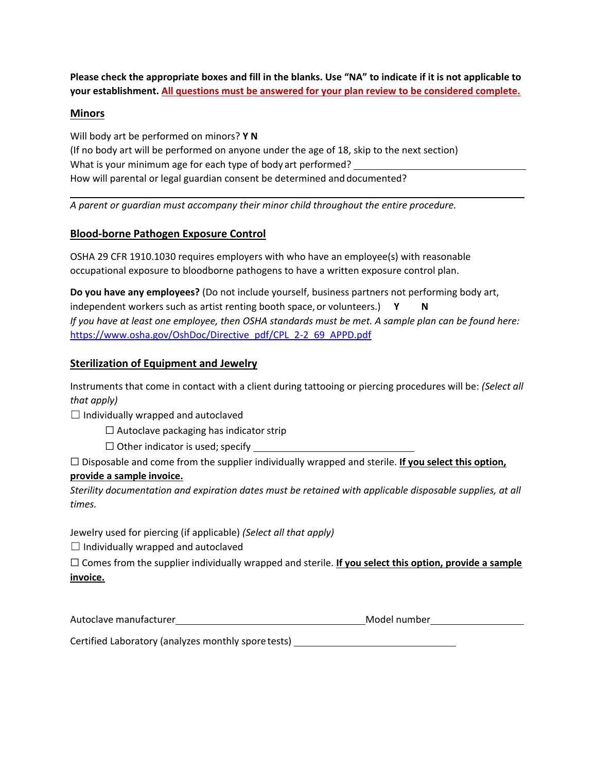**Please check the appropriate boxes and fill in the blanks. Use "NA" to indicate if it is not applicable to your establishment. All questions must be answered for your plan review to be considered complete.**

## **Minors**

Will body art be performed on minors? **Y N** (If no body art will be performed on anyone under the age of 18, skip to the next section) What is your minimum age for each type of body art performed? How will parental or legal guardian consent be determined and documented?

*A parent or guardian must accompany their minor child throughout the entire procedure.*

## **Blood-borne Pathogen Exposure Control**

OSHA 29 CFR 1910.1030 requires employers with who have an employee(s) with reasonable occupational exposure to bloodborne pathogens to have a written exposure control plan.

**Do you have any employees?** (Do not include yourself, business partners not performing body art, independent workers such as artist renting booth space, or volunteers.) **Y N** *If you have at least one employee, then OSHA standards must be met. A sample plan can be found here:* [https://www.osha.gov/OshDoc/Directive\\_pdf/CPL\\_2-2\\_69\\_APPD.pdf](https://www.osha.gov/OshDoc/Directive_pdf/CPL_2-2_69_APPD.pdf)

## **Sterilization of Equipment and Jewelry**

Instruments that come in contact with a client during tattooing or piercing procedures will be: *(Select all that apply)*

 $\Box$  Individually wrapped and autoclaved

- $\Box$  Autoclave packaging has indicator strip
- $\Box$  Other indicator is used; specify

☐ Disposable and come from the supplier individually wrapped and sterile. **If you select this option, provide a sample invoice.**

*Sterility documentation and expiration dates must be retained with applicable disposable supplies, at all times.*

Jewelry used for piercing (if applicable) *(Select all that apply)*

 $\Box$  Individually wrapped and autoclaved

☐ Comes from the supplier individually wrapped and sterile. **If you select this option, provide a sample invoice.**

| Autoclave manufacturer | Model number |
|------------------------|--------------|
|                        |              |

Certified Laboratory (analyzes monthly spore tests)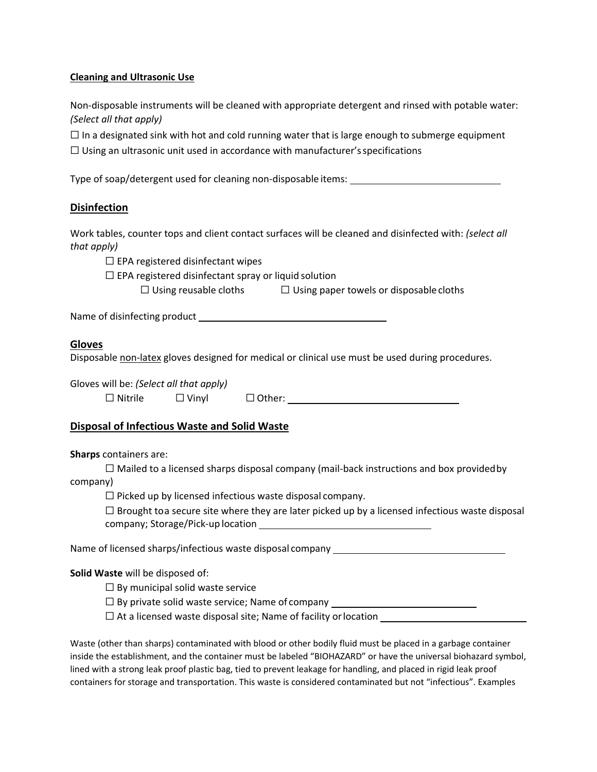#### **Cleaning and Ultrasonic Use**

Non-disposable instruments will be cleaned with appropriate detergent and rinsed with potable water: *(Select all that apply)*

 $\Box$  In a designated sink with hot and cold running water that is large enough to submerge equipment

 $\Box$  Using an ultrasonic unit used in accordance with manufacturer's specifications

Type of soap/detergent used for cleaning non-disposable items:

## **Disinfection**

Work tables, counter tops and client contact surfaces will be cleaned and disinfected with: *(select all that apply)*

 $\Box$  EPA registered disinfectant wipes

 $\Box$  EPA registered disinfectant spray or liquid solution

 $\Box$  Using reusable cloths  $\Box$  Using paper towels or disposable cloths

Name of disinfecting product

## **Gloves**

Disposable non-latex gloves designed for medical or clinical use must be used during procedures.

Gloves will be: *(Select all that apply)*

 $\Box$  Nitrile  $\Box$  Vinyl  $\Box$  Other:

## **Disposal of Infectious Waste and Solid Waste**

#### **Sharps** containers are:

 $\Box$  Mailed to a licensed sharps disposal company (mail-back instructions and box provided by company)

 $\Box$  Picked up by licensed infectious waste disposal company.

 $\square$  Brought toa secure site where they are later picked up by a licensed infectious waste disposal company; Storage/Pick-up location

Name of licensed sharps/infectious waste disposal company

## **Solid Waste** will be disposed of:

 $\Box$  By municipal solid waste service

 $\Box$  By private solid waste service; Name of company

 $\Box$  At a licensed waste disposal site; Name of facility or location

Waste (other than sharps) contaminated with blood or other bodily fluid must be placed in a garbage container inside the establishment, and the container must be labeled "BIOHAZARD" or have the universal biohazard symbol, lined with a strong leak proof plastic bag, tied to prevent leakage for handling, and placed in rigid leak proof containers for storage and transportation. This waste is considered contaminated but not "infectious". Examples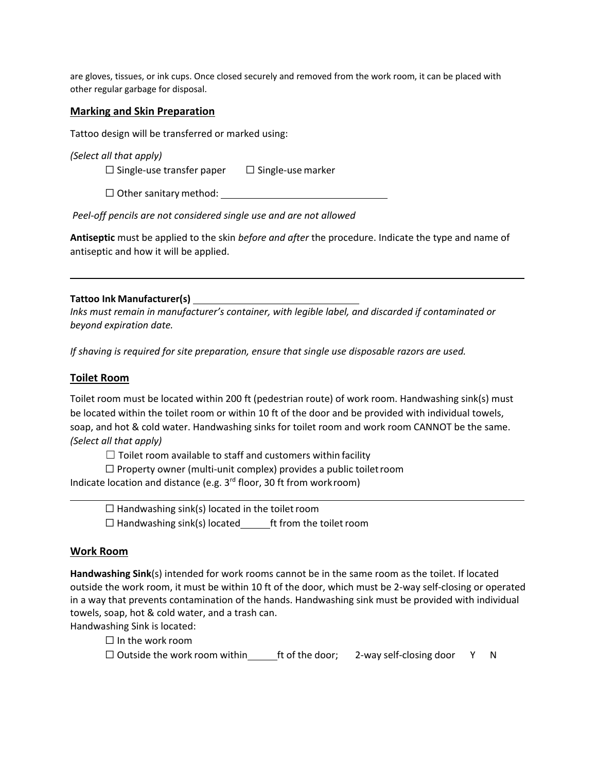are gloves, tissues, or ink cups. Once closed securely and removed from the work room, it can be placed with other regular garbage for disposal.

#### **Marking and Skin Preparation**

Tattoo design will be transferred or marked using:

*(Select all that apply)*

 $\Box$  Single-use transfer paper  $\Box$  Single-use marker

 $\Box$  Other sanitary method:

*Peel-off pencils are not considered single use and are not allowed*

**Antiseptic** must be applied to the skin *before and after* the procedure. Indicate the type and name of antiseptic and how it will be applied.

## **Tattoo Ink Manufacturer(s)**

*Inks must remain in manufacturer's container, with legible label, and discarded if contaminated or beyond expiration date.*

*If shaving is required for site preparation, ensure that single use disposable razors are used.*

#### **Toilet Room**

Toilet room must be located within 200 ft (pedestrian route) of work room. Handwashing sink(s) must be located within the toilet room or within 10 ft of the door and be provided with individual towels, soap, and hot & cold water. Handwashing sinks for toilet room and work room CANNOT be the same. *(Select all that apply)*

 $\Box$  Toilet room available to staff and customers within facility

 $\Box$  Property owner (multi-unit complex) provides a public toilet room Indicate location and distance (e.g. 3<sup>rd</sup> floor, 30 ft from workroom)

 $\Box$  Handwashing sink(s) located in the toilet room ☐ Handwashing sink(s) located ft from the toiletroom

#### **Work Room**

**Handwashing Sink**(s) intended for work rooms cannot be in the same room as the toilet. If located outside the work room, it must be within 10 ft of the door, which must be 2-way self-closing or operated in a way that prevents contamination of the hands. Handwashing sink must be provided with individual towels, soap, hot & cold water, and a trash can.

Handwashing Sink is located:

 $\Box$  In the work room

 $\Box$  Outside the work room within ft of the door; 2-way self-closing door Y N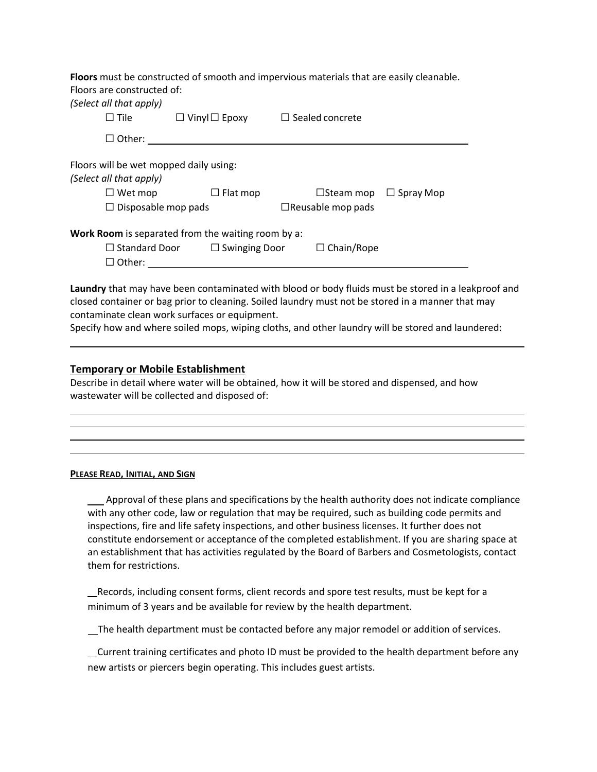**Floors** must be constructed of smooth and impervious materials that are easily cleanable. Floors are constructed of:

| (Select all that apply)                |                                                    |                                      |
|----------------------------------------|----------------------------------------------------|--------------------------------------|
| $\Box$ Tile                            | $\Box$ Vinyl $\Box$ Epoxy                          | $\Box$ Sealed concrete               |
| $\Box$ Other:                          |                                                    |                                      |
| Floors will be wet mopped daily using: |                                                    |                                      |
| (Select all that apply)                |                                                    |                                      |
| $\Box$ Wet mop                         | $\Box$ Flat mop                                    | $\Box$ Steam mop<br>$\Box$ Spray Mop |
| $\Box$ Disposable mop pads             |                                                    | $\Box$ Reusable mop pads             |
|                                        | Work Room is separated from the waiting room by a: |                                      |
| $\Box$ Standard Door                   | $\Box$ Swinging Door                               | $\Box$ Chain/Rope                    |
| $\Box$ Other:                          |                                                    |                                      |

**Laundry** that may have been contaminated with blood or body fluids must be stored in a leakproof and closed container or bag prior to cleaning. Soiled laundry must not be stored in a manner that may contaminate clean work surfaces or equipment.

Specify how and where soiled mops, wiping cloths, and other laundry will be stored and laundered:

#### **Temporary or Mobile Establishment**

Describe in detail where water will be obtained, how it will be stored and dispensed, and how wastewater will be collected and disposed of:

#### **PLEASE READ, INITIAL, AND SIGN**

Approval of these plans and specifications by the health authority does not indicate compliance with any other code, law or regulation that may be required, such as building code permits and inspections, fire and life safety inspections, and other business licenses. It further does not constitute endorsement or acceptance of the completed establishment. If you are sharing space at an establishment that has activities regulated by the Board of Barbers and Cosmetologists, contact them for restrictions.

 Records, including consent forms, client records and spore test results, must be kept for a minimum of 3 years and be available for review by the health department.

The health department must be contacted before any major remodel or addition of services.

 Current training certificates and photo ID must be provided to the health department before any new artists or piercers begin operating. This includes guest artists.